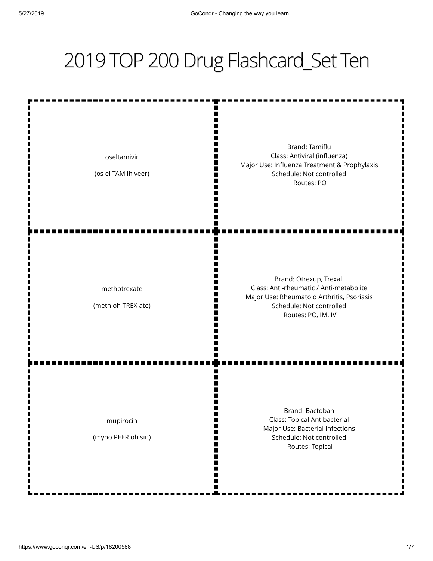## 2019 TOP 200 Drug Flashcard\_Set Ten

Brand: Tamiflu Class: Antiviral (influenza) oseltamivir Major Use: Influenza Treatment & Prophylaxis п (os el TAM ih veer) Schedule: Not controlled Routes: PO Brand: Otrexup, Trexall Class: Anti-rheumatic / Anti-metabolite methotrexate Major Use: Rheumatoid Arthritis, Psoriasis (meth oh TREX ate) Schedule: Not controlled Routes: PO, IM, IV Brand: Bactoban Class: Topical Antibacterial mupirocin Major Use: Bacterial Infections (myoo PEER oh sin) Schedule: Not controlled Routes: Topical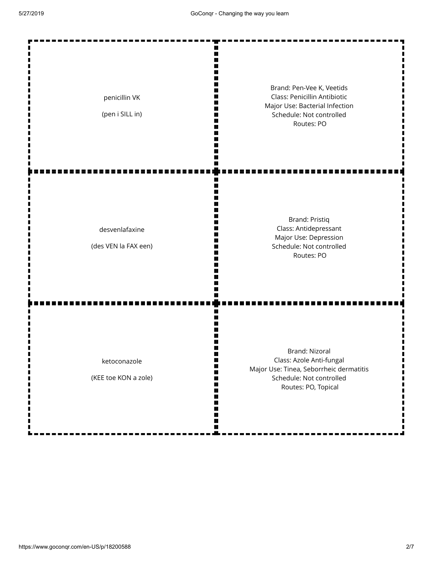| penicillin VK<br>(pen i SILL in)       | Brand: Pen-Vee K, Veetids<br>Class: Penicillin Antibiotic<br>Major Use: Bacterial Infection<br>Schedule: Not controlled<br>Routes: PO    |
|----------------------------------------|------------------------------------------------------------------------------------------------------------------------------------------|
| desvenlafaxine<br>(des VEN la FAX een) | <b>Brand: Pristiq</b><br>Class: Antidepressant<br>Major Use: Depression<br>Schedule: Not controlled<br>Routes: PO                        |
| ketoconazole<br>(KEE toe KON a zole)   | Brand: Nizoral<br>Class: Azole Anti-fungal<br>Major Use: Tinea, Seborrheic dermatitis<br>Schedule: Not controlled<br>Routes: PO, Topical |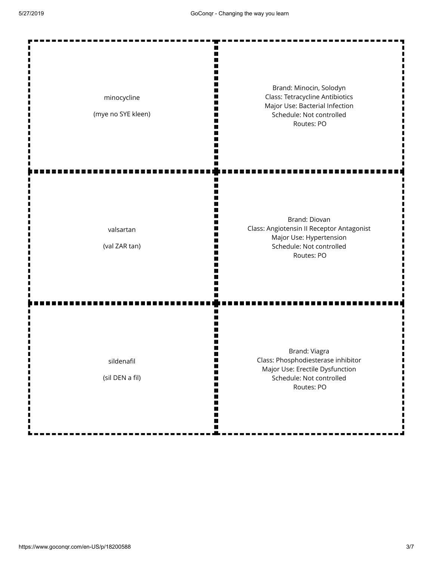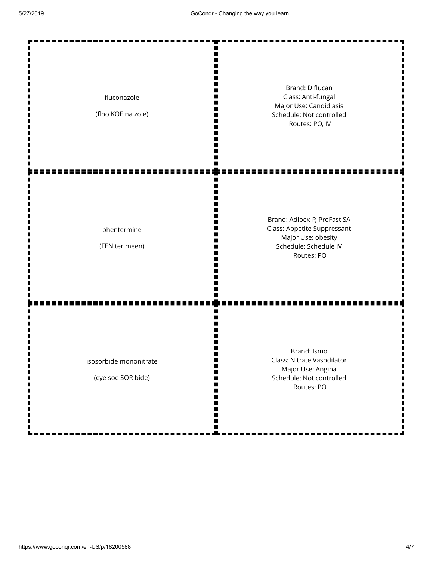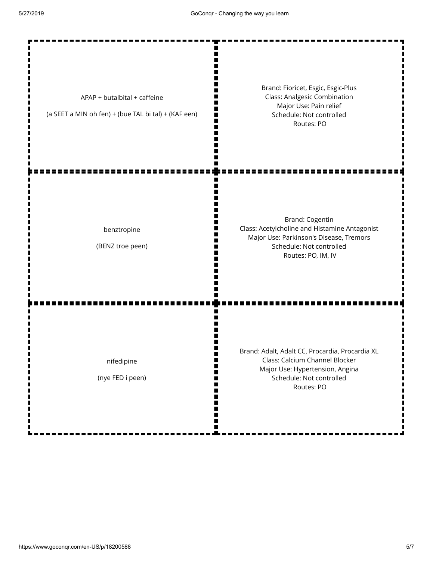| APAP + butalbital + caffeine<br>(a SEET a MIN oh fen) + (bue TAL bi tal) + (KAF een) | Brand: Fioricet, Esgic, Esgic-Plus<br><b>Class: Analgesic Combination</b><br>Major Use: Pain relief<br>Schedule: Not controlled<br>Routes: PO                  |
|--------------------------------------------------------------------------------------|----------------------------------------------------------------------------------------------------------------------------------------------------------------|
| benztropine<br>(BENZ troe peen)                                                      | Brand: Cogentin<br>Class: Acetylcholine and Histamine Antagonist<br>Major Use: Parkinson's Disease, Tremors<br>Schedule: Not controlled<br>Routes: PO, IM, IV  |
| nifedipine<br>(nye FED i peen)                                                       | Brand: Adalt, Adalt CC, Procardia, Procardia XL<br>Class: Calcium Channel Blocker<br>Major Use: Hypertension, Angina<br>Schedule: Not controlled<br>Routes: PO |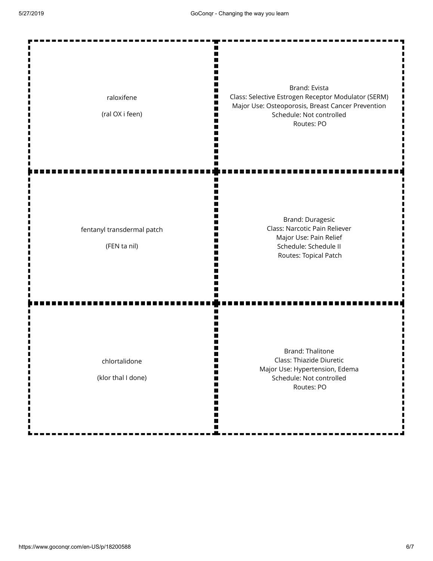| raloxifene<br>(ral OX i feen)              | Brand: Evista<br>Class: Selective Estrogen Receptor Modulator (SERM)<br>Major Use: Osteoporosis, Breast Cancer Prevention<br>Schedule: Not controlled<br>Routes: PO |
|--------------------------------------------|---------------------------------------------------------------------------------------------------------------------------------------------------------------------|
| fentanyl transdermal patch<br>(FEN ta nil) | Brand: Duragesic<br>Class: Narcotic Pain Reliever<br>Major Use: Pain Relief<br>Schedule: Schedule II<br>Routes: Topical Patch                                       |
| chlortalidone<br>(klor thal I done)        | <b>Brand: Thalitone</b><br>Class: Thiazide Diuretic<br>Major Use: Hypertension, Edema<br>Schedule: Not controlled<br>Routes: PO                                     |